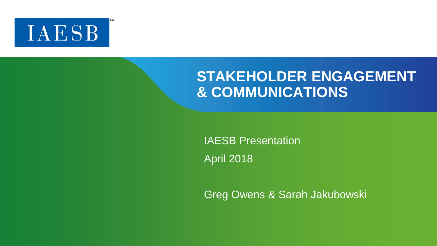

### **STAKEHOLDER ENGAGEMENT & COMMUNICATIONS**

IAESB Presentation April 2018

Greg Owens & Sarah Jakubowski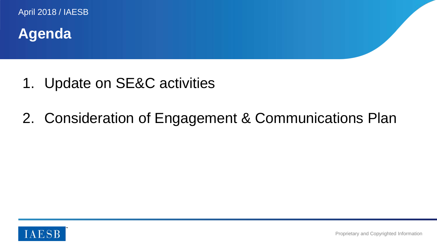**Agenda**

- 1. Update on SE&C activities
- 2. Consideration of Engagement & Communications Plan

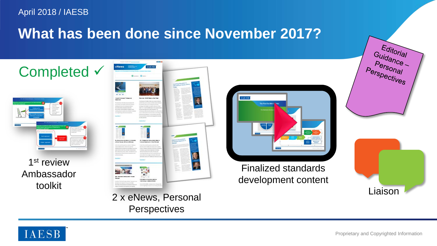### **What has been done since November 2017?**



1<sup>st</sup> review Ambassador toolkit



2 x eNews, Personal **Perspectives** 



#### Finalized standards development content



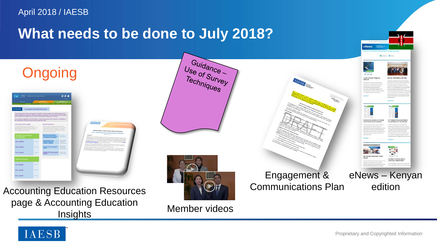### **What needs to be done to July 2018?**

**Ongoing** 

**AESB** 





Guidance

Use of Survey

Accounting Education Resources page & Accounting Education **Insights** 

Member videos

Engagement & Communications Plan





Proprietary and Copyrighted Information

eNews – Kenyan edition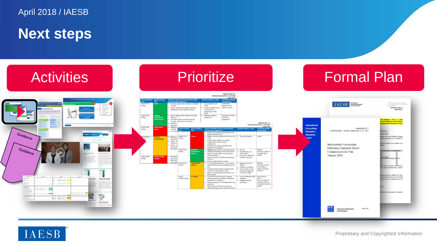**Next steps**



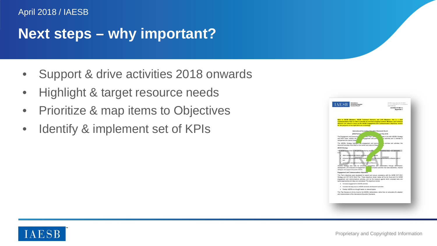### **Next steps – why important?**

- Support & drive activities 2018 onwards
- Highlight & target resource needs
- Prioritize & map items to Objectives
- Identify & implement set of KPIs

| <b>IAESB</b><br>stream loads and<br>AGENDA ITEM 7-3<br><b>Apparedix C</b>                                                                                                                                                                                                                                                                                                                                                                                                    |
|------------------------------------------------------------------------------------------------------------------------------------------------------------------------------------------------------------------------------------------------------------------------------------------------------------------------------------------------------------------------------------------------------------------------------------------------------------------------------|
| Nide to MESS Members, WESS Technical Advisors and CAS Members, this is a draft<br>Creanunications Plan is order to provide an overview of typical content. Members and Technical<br>Advisors are asked to locus on the MESE Engagement and Communication Disectives section<br>for the purposes of the April 2018 set of meetings                                                                                                                                            |
| <b>International Acc</b><br><b>Standards Board</b>                                                                                                                                                                                                                                                                                                                                                                                                                           |
| in Flax 2016.<br><b>ERAFTI EN</b>                                                                                                                                                                                                                                                                                                                                                                                                                                            |
| The Engagement and Community<br>an the "Pain's who<br>sated in line with MEDE's Strumers<br>and Work Plans, sutlines the 1<br>engagement and com<br>one activities and is intended to<br>compensent the questi Strategi                                                                                                                                                                                                                                                      |
| The WESE's Strategy highlights hey engagement and com-<br>ins proving and activities: this<br>document provides more detail on the cortext and nature of the<br>best.                                                                                                                                                                                                                                                                                                        |
| <b>UNFAIR SECURITY</b>                                                                                                                                                                                                                                                                                                                                                                                                                                                       |
| <b>video</b><br>attain acceptance workers and forter a<br><b>Allance</b><br>enhance the competence of indivision.<br>a in the global accountance profession. And in<br><b>Suite</b><br>continues or experience sublation and confidence.<br>ULLES shaleyy and cars for enturied contactors will statements moves identicator.<br>pevelopment, and execution of engagement a<br>UNCARDO ACTIVITIES TIGE CASE EMISTERES, Improve<br>dialogue, and support the public interest. |
| Engagement and Communications Objectives                                                                                                                                                                                                                                                                                                                                                                                                                                     |
| This Plan's objectives were developed to support and ensure consistency with the IAESB 2017-2021<br>Strategy and 2017-2018 Work Plan. These objectives shown below will be the final point for ULESE<br>ergagement and conmunications activities, and be the measure against which prosoned tools and<br>tacticulasemaches and ideas are considered. The objectives include:                                                                                                 |
| . Increase and appenant in ULETS activities                                                                                                                                                                                                                                                                                                                                                                                                                                  |
| . Increase two-way input to (AESD standards development activities)                                                                                                                                                                                                                                                                                                                                                                                                          |
| . Postor MESB as a thought leader on relevant topics.                                                                                                                                                                                                                                                                                                                                                                                                                        |
| This Flax focuses on driving least to the MISE's deliberations, rather than an advocating for adoption<br>and inclumentation of the International Education Standards.                                                                                                                                                                                                                                                                                                       |
|                                                                                                                                                                                                                                                                                                                                                                                                                                                                              |
|                                                                                                                                                                                                                                                                                                                                                                                                                                                                              |

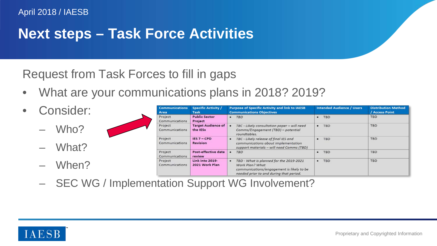# **Next steps – Task Force Activities**

Request from Task Forces to fill in gaps

- What are your communications plans in 2018? 2019?
- Consider:
	- Who?
	- What?
	- When?

| <b>Communications</b>            | <b>Specific Activity /</b>                        | <b>Purpose of Specific Activity and link to IAESB</b>                                                                                                   | <b>Intended Audience / Users</b> | <b>Distribution Method</b> |
|----------------------------------|---------------------------------------------------|---------------------------------------------------------------------------------------------------------------------------------------------------------|----------------------------------|----------------------------|
| Area                             | <b>Task</b>                                       | <b>Communications Objectives</b>                                                                                                                        |                                  | / Access Point             |
| Project                          | <b>Public Sector</b>                              | <b>TBD</b>                                                                                                                                              | <b>TBD</b>                       | <b>TBD</b>                 |
| Communications                   | Project                                           | ٠                                                                                                                                                       | $\bullet$                        |                            |
| Project<br>Communications        | <b>Target Audience of</b><br>the IESs             | TBC - Likely consultation paper - will need<br>$\bullet$<br>Comms/Engagement (TBD) - potential<br>roundtables.                                          | <b>TBD</b><br>٠                  | <b>TBD</b>                 |
| Project<br><b>Communications</b> | <b>IES <math>7 -</math>CPD</b><br><b>Revision</b> | TBC - Likely release of final IES and<br>٠<br>communications about implementation<br>support materials - will need Comms (TBD)                          | <b>TBD</b><br>$\bullet$          | <b>TBD</b>                 |
| Project                          | Post-effective date                               | <b>TBD</b>                                                                                                                                              | <b>TBD</b>                       | <b>TBD</b>                 |
| Communications                   | review                                            | ٠                                                                                                                                                       |                                  |                            |
| Project<br>Communications        | Link into 2019-<br>2021 Work Plan                 | TBD - What is planned for the 2019-2021<br>٠<br>Work Plan? What<br>communications/engagement is likely to be<br>needed prior to and during that period. | <b>TBD</b><br>٠                  | <b>TBD</b>                 |

– SEC WG / Implementation Support WG Involvement?

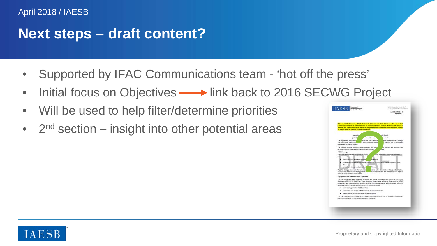#### **Next steps – draft content?**

- Supported by IFAC Communications team 'hot off the press'
- Initial focus on Objectives  **Fink** back to 2016 SECWG Project
- Will be used to help filter/determine priorities
- $2<sup>nd</sup>$  section insight into other potential areas



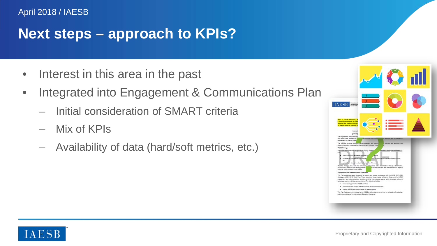# **Next steps – approach to KPIs?**

- Interest in this area in the past
- Integrated into Engagement & Communications Plan
	- Initial consideration of SMART criteria
	- Mix of KPIs
	- Availability of data (hard/soft metrics, etc.)



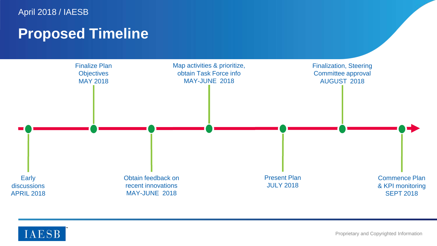### **Proposed Timeline**



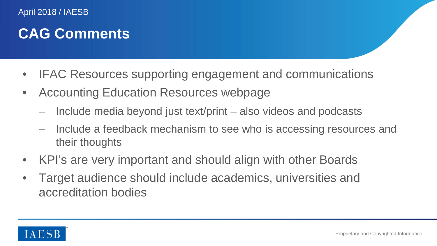# **CAG Comments**

- IFAC Resources supporting engagement and communications
- Accounting Education Resources webpage
	- Include media beyond just text/print also videos and podcasts
	- Include a feedback mechanism to see who is accessing resources and their thoughts
- KPI's are very important and should align with other Boards
- Target audience should include academics, universities and accreditation bodies